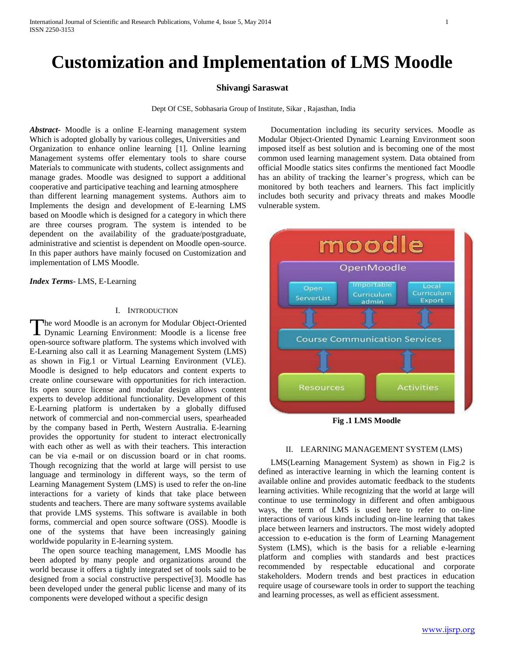# **Customization and Implementation of LMS Moodle**

#### **Shivangi Saraswat**

Dept Of CSE, Sobhasaria Group of Institute, Sikar , Rajasthan, India

*Abstract***-** Moodle is a online E-learning management system Which is adopted globally by various colleges, Universities and Organization to enhance online learning [1]. Online learning Management systems offer elementary tools to share course Materials to communicate with students, collect assignments and manage grades. Moodle was designed to support a additional cooperative and participative teaching and learning atmosphere than different learning management systems. Authors aim to Implements the design and development of E-learning LMS based on Moodle which is designed for a category in which there are three courses program. The system is intended to be dependent on the availability of the graduate/postgraduate, administrative and scientist is dependent on Moodle open-source. In this paper authors have mainly focused on Customization and implementation of LMS Moodle.

*Index Terms*- LMS, E-Learning

#### I. INTRODUCTION

he word Moodle is an acronym for Modular Object-Oriented The word Moodle is an acronym for Modular Object-Oriented<br>Dynamic Learning Environment: Moodle is a license free open-source software platform. The systems which involved with E-Learning also call it as Learning Management System (LMS) as shown in Fig.1 or Virtual Learning Environment (VLE). Moodle is designed to help educators and content experts to create online courseware with opportunities for rich interaction. Its open source license and modular design allows content experts to develop additional functionality. Development of this E-Learning platform is undertaken by a globally diffused network of commercial and non-commercial users, spearheaded by the company based in Perth, Western Australia. E-learning provides the opportunity for student to interact electronically with each other as well as with their teachers. This interaction can be via e-mail or on discussion board or in chat rooms. Though recognizing that the world at large will persist to use language and terminology in different ways, so the term of Learning Management System (LMS) is used to refer the on-line interactions for a variety of kinds that take place between students and teachers. There are many software systems available that provide LMS systems. This software is available in both forms, commercial and open source software (OSS). Moodle is one of the systems that have been increasingly gaining worldwide popularity in E-learning system.

 The open source teaching management, LMS Moodle has been adopted by many people and organizations around the world because it offers a tightly integrated set of tools said to be designed from a social constructive perspective[3]. Moodle has been developed under the general public license and many of its components were developed without a specific design

 Documentation including its security services. Moodle as Modular Object-Oriented Dynamic Learning Environment soon imposed itself as best solution and is becoming one of the most common used learning management system. Data obtained from official Moodle statics sites confirms the mentioned fact Moodle has an ability of tracking the learner's progress, which can be monitored by both teachers and learners. This fact implicitly includes both security and privacy threats and makes Moodle vulnerable system.



**Fig .1 LMS Moodle**

# II. LEARNING MANAGEMENT SYSTEM (LMS)

 LMS(Learning Management System) as shown in Fig.2 is defined as interactive learning in which the learning content is available online and provides automatic feedback to the students learning activities. While recognizing that the world at large will continue to use terminology in different and often ambiguous ways, the term of LMS is used here to refer to on-line interactions of various kinds including on-line learning that takes place between learners and instructors. The most widely adopted accession to e-education is the form of Learning Management System (LMS), which is the basis for a reliable e-learning platform and complies with standards and best practices recommended by respectable educational and corporate stakeholders. Modern trends and best practices in education require usage of courseware tools in order to support the teaching and learning processes, as well as efficient assessment.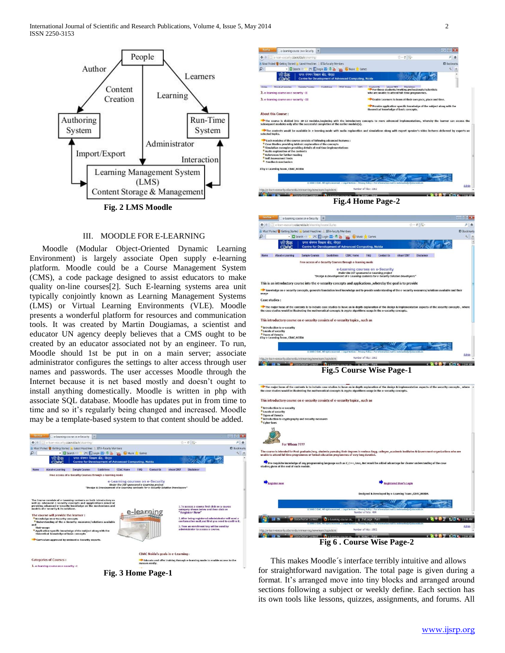

# III. MOODLE FOR E-LEARNING

 Moodle (Modular Object-Oriented Dynamic Learning Environment) is largely associate Open supply e-learning platform. Moodle could be a Course Management System (CMS), a code package designed to assist educators to make quality on-line courses[2]. Such E-learning systems area unit typically conjointly known as Learning Management Systems (LMS) or Virtual Learning Environments (VLE). Moodle presents a wonderful platform for resources and communication tools. It was created by Martin Dougiamas, a scientist and educator UN agency deeply believes that a CMS ought to be created by an educator associated not by an engineer. To run, Moodle should 1st be put in on a main server; associate administrator configures the settings to alter access through user names and passwords. The user accesses Moodle through the Internet because it is net based mostly and doesn't ought to install anything domestically. Moodle is written in php with associate SQL database. Moodle has updates put in from time to time and so it's regularly being changed and increased. Moodle may be a template-based system to that content should be added.











For Whom ???? led for Post grad

 This makes Moodle´s interface terribly intuitive and allows for straightforward navigation. The total page is given during a format. It's arranged move into tiny blocks and arranged around sections following a subject or weekly define. Each section has its own tools like lessons, quizzes, assignments, and forums. All

**CORRECTION**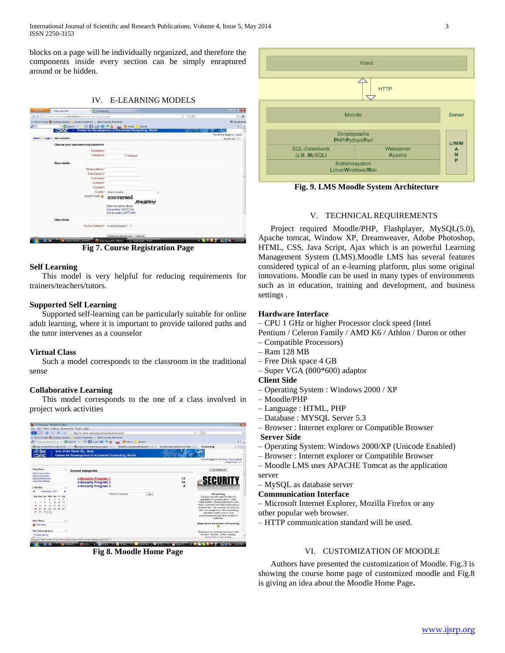blocks on a page will be individually organized, and therefore the components inside every section can be simply enraptured around or be hidden.

# IV. E-LEARNING MODELS



**Fig 7. Course Registration Page**

#### **Self Learning**

 This model is very helpful for reducing requirements for trainers/teachers/tutors.

# **Supported Self Learning**

 Supported self-learning can be particularly suitable for online adult learning, where it is important to provide tailored paths and the tutor intervenes as a counselor

# **Virtual Class**

 Such a model corresponds to the classroom in the traditional sense

# **Collaborative Learning**

 This model corresponds to the one of a class involved in project work activities

| E-Learning - Mozilla Firefox                                                                                                                                                                            |                                                                                                                                    | <b>POUGE</b>                                                                                                                                                                                                                                                                                                                                  |                   |
|---------------------------------------------------------------------------------------------------------------------------------------------------------------------------------------------------------|------------------------------------------------------------------------------------------------------------------------------------|-----------------------------------------------------------------------------------------------------------------------------------------------------------------------------------------------------------------------------------------------------------------------------------------------------------------------------------------------|-------------------|
| File Edit View History Bookmarks Tools Help                                                                                                                                                             |                                                                                                                                    |                                                                                                                                                                                                                                                                                                                                               |                   |
|                                                                                                                                                                                                         | C X C http://e-learn-esecurity.cdacnoida.in/security/                                                                              | ☆ - 回-                                                                                                                                                                                                                                                                                                                                        | $\overline{\rho}$ |
|                                                                                                                                                                                                         | Most Visited & Getting Started M. Latest Headlines  IIITA-Faculty Members                                                          |                                                                                                                                                                                                                                                                                                                                               |                   |
|                                                                                                                                                                                                         | D - how to enroll a co - El Search ++ 2 °C El Login = - C La an D Music & Games                                                    |                                                                                                                                                                                                                                                                                                                                               |                   |
|                                                                                                                                                                                                         | Now to enroll a code of bli x 3 scope of e-learning project x Benefits Scope.pdf (applic x e-learning course on e-Sec x E-Learning |                                                                                                                                                                                                                                                                                                                                               |                   |
| सैक<br>CDAC                                                                                                                                                                                             | पगत संगणन विकास केंद्र, नोएडा<br><b>Centre for Development of Advanced Computing, Noida</b>                                        |                                                                                                                                                                                                                                                                                                                                               |                   |
|                                                                                                                                                                                                         |                                                                                                                                    | You are logged in as Admin User (Logout)<br>English (en) -                                                                                                                                                                                                                                                                                    |                   |
| <b>Blog Menu</b><br>$\begin{bmatrix} 0 \\ 1 \end{bmatrix}$                                                                                                                                              | <b>Course categories</b>                                                                                                           | Turn editing on                                                                                                                                                                                                                                                                                                                               |                   |
| Add a new entry<br>View my entries<br>Blog preferences<br><b>Mear site entries</b><br>R<br>Calendar                                                                                                     | 12<br>e-Security Program 1<br>10<br>e-Security Program 2<br>e-Security Program 3<br>$\mathbf{a}$                                   | <b>SECURITY</b>                                                                                                                                                                                                                                                                                                                               |                   |
| November 2011<br>۰<br>Sun Mon Tue Wed Thu Fri Sat<br>$\lambda$<br>$\overline{a}$<br>$\mathcal{L}$<br>$\overline{2}$<br>10<br>11 12<br>15<br>16<br>17 18 19<br>22 23 24 25 26<br>21<br>20<br>27 28 29 30 | Search courses:<br>Go                                                                                                              | E-Learning<br>Enhance growth opportunities by<br>upgrading or growing new IT skills.<br>Quite frankly. Online Education is the<br>most convenient and affordable way to<br>achieve this. The courses we have on<br>offer are designed to offer something<br>valuable to both novices and<br>professionals and all other grades in<br>between. |                   |
| <b>Main Menu</b><br>Site news                                                                                                                                                                           |                                                                                                                                    | Experience the power of E-Leaning                                                                                                                                                                                                                                                                                                             |                   |
| Site Administration.<br>eï<br>· Notifications                                                                                                                                                           |                                                                                                                                    | Maximize your training experience with<br>relevant flexible online training<br>direct from C-DAC Noida                                                                                                                                                                                                                                        |                   |

**Fig 8. Moodle Home Page**



**Fig. 9. LMS Moodle System Architecture**

# V. TECHNICAL REQUIREMENTS

 Project required Moodle/PHP, Flashplayer, MySQL(5.0), Apache tomcat, Window XP, Dreamweaver, Adobe Photoshop, HTML, CSS, Java Script, Ajax which is an powerful Learning Management System (LMS).Moodle LMS has several features considered typical of an e-learning platform, plus some original innovations. Moodle can be used in many types of environments such as in education, training and development, and business settings .

### **Hardware Interface**

– CPU 1 GHz or higher Processor clock speed (Intel

Pentium / Celeron Family / AMD K6 / Athlon / Duron or other

- Compatible Processors)
- Ram 128 MB
- Free Disk space 4 GB
- Super VGA (800\*600) adaptor
- **Client Side**
- Operating System : Windows 2000 / XP
- Moodle/PHP
- Language : HTML, PHP
- Database : MYSQL Server 5.3
- Browser : Internet explorer or Compatible Browser
- **Server Side**
- Operating System: Windows 2000/XP (Unicode Enabled)
- Browser : Internet explorer or Compatible Browser

– Moodle LMS uses APACHE Tomcat as the application server

– MySQL as database server

#### **Communication Interface**

– Microsoft Internet Explorer, Mozilla Firefox or any other popular web browser.

– HTTP communication standard will be used.

# VI. CUSTOMIZATION OF MOODLE

 Authors have presented the customization of Moodle. Fig.3 is showing the course home page of customized moodle and Fig.8 is giving an idea about the Moodle Home Page**.**